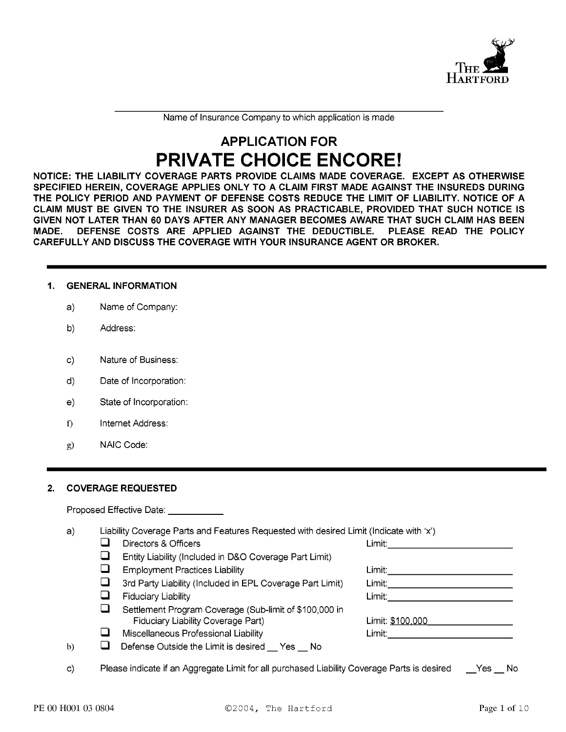

Name of Insurance Company to which application is made

# **APPLICATION FOR PRIVATE CHOICE ENCORE!**

NOTICE: THE LIABILITY COVERAGE PARTS PROVIDE CLAIMS MADE COVERAGE. EXCEPT AS OTHERWISE SPECIFIED HEREIN, COVERAGE APPLIES ONLY TO A CLAIM FIRST MADE AGAINST THE INSUREDS DURING THE POLICY PERIOD AND PAYMENT OF DEFENSE COSTS REDUCE THE LIMIT OF LIABILITY. NOTICE OF A CLAIM MUST BE GIVEN TO THE INSURER AS SOON AS PRACTICABLE, PROVIDED THAT SUCH NOTICE IS GIVEN NOT LATER THAN 60 DAYS AFTER ANY MANAGER BECOMES AWARE THAT SUCH CLAIM HAS BEEN DEFENSE COSTS ARE APPLIED AGAINST THE DEDUCTIBLE. PLEASE READ THE POLICY **MADE.** CAREFULLY AND DISCUSS THE COVERAGE WITH YOUR INSURANCE AGENT OR BROKER.

#### $\mathbf 1$ . **GENERAL INFORMATION**

- $a)$ Name of Company:
- b) Address:
- Nature of Business:  $c)$
- d) Date of Incorporation:
- State of Incorporation:  $e)$
- f) Internet Address:
- NAIC Code:  $g$ )

#### **COVERAGE REQUESTED**  $2.$

 $\Box$ 

Proposed Effective Date:

 $a)$ Liability Coverage Parts and Features Requested with desired Limit (Indicate with 'x')

- $\Box$ Directors & Officers
	- $\Box$ Entity Liability (Included in D&O Coverage Part Limit)
	- $\Box$ **Employment Practices Liability**
	- $\Box$ 3rd Party Liability (Included in EPL Coverage Part Limit)
- $\Box$ Fiduciary Liability
- $\Box$ Settlement Program Coverage (Sub-limit of \$100,000 in Fiduciary Liability Coverage Part)
- $\Box$ Miscellaneous Professional Liability

Limit: Limit: \$100,000 Limit: **Exercise State** 

- Defense Outside the Limit is desired \_\_ Yes \_\_ No  $b)$
- Please indicate if an Aggregate Limit for all purchased Liability Coverage Parts is desired Yes No  $\mathsf{c}$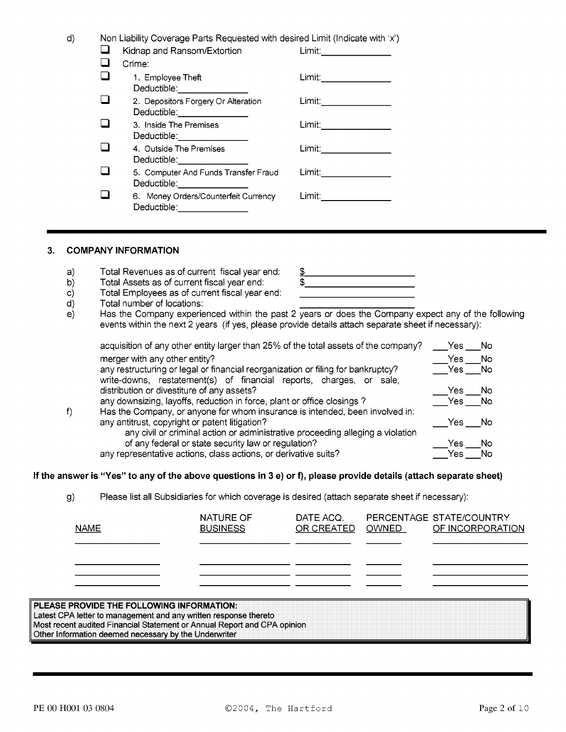| Non Liability Coverage Parts Requested with desired Limit (Indicate with 'x') |                          |
|-------------------------------------------------------------------------------|--------------------------|
| Kidnap and Ransom/Extortion                                                   |                          |
| Crime:                                                                        |                          |
| 1. Employee Theft<br>Deductible: _______________                              | Limit: _____________     |
| 2. Depositors Forgery Or Alteration<br>Deductible: _______________            | Limit:__________________ |
| 3. Inside The Premises<br>Deductible: <u>www.community.com</u>                | Limit: _____________     |
| 4. Outside The Premises<br>Deductible: _______________                        | Limit:                   |
| 5. Computer And Funds Transfer Fraud<br>Deductible: _______________           | Limit:                   |
| 6. Money Orders/Counterfeit Currency<br>Deductible: .                         | Limit: _________________ |

#### $3<sub>1</sub>$ **COMPANY INFORMATION**

 $d)$ 

- Total Revenues as of current fiscal year end:  $a)$
- Total Assets as of current fiscal year end:  $b)$
- Total Employees as of current fiscal year end:  $\mathsf{C}$
- Total number of locations: d)
- Has the Company experienced within the past 2 years or does the Company expect any of the following  $e)$ events within the next 2 years (if yes, please provide details attach separate sheet if necessary):

\$

\$

| acquisition of any other entity larger than 25% of the total assets of the company?                                                                     | Yes.   | - No   |
|---------------------------------------------------------------------------------------------------------------------------------------------------------|--------|--------|
| merger with any other entity?                                                                                                                           | Yes.   | - No   |
| any restructuring or legal or financial reorganization or filing for bankruptcy?<br>write-downs, restatement(s) of financial reports, charges, or sale, | Yes No |        |
| distribution or divestiture of any assets?                                                                                                              | Yes.   | - No   |
| any downsizing, layoffs, reduction in force, plant or office closings?                                                                                  |        | Yes No |
| Has the Company, or anyone for whom insurance is intended, been involved in:                                                                            |        |        |
| any antitrust, copyright or patent litigation?                                                                                                          | Yes.   | – No   |
| any civil or criminal action or administrative proceeding alleging a violation                                                                          |        |        |
| of any federal or state security law or regulation?                                                                                                     | Yes    | N٥     |
| any representative actions, class actions, or derivative suits?                                                                                         | Yes    | No     |

If the answer is "Yes" to any of the above questions in 3 e) or f), please provide details (attach separate sheet)

Please list all Subsidiaries for which coverage is desired (attach separate sheet if necessary):  $g)$ 

| <b>NAME</b>                                                                                                                                  | NATURE OF<br><b>BUSINESS</b> | DATE ACQ.<br>OR CREATED | <b>OWNED</b> | PERCENTAGE STATE/COUNTRY<br>OF INCORPORATION |
|----------------------------------------------------------------------------------------------------------------------------------------------|------------------------------|-------------------------|--------------|----------------------------------------------|
|                                                                                                                                              |                              |                         |              |                                              |
| PLEASE PROVIDE THE FOLLOWING INFORMATION:                                                                                                    |                              |                         |              |                                              |
| Latest CPA letter to management and any written response thereto<br>Most recent audited Financial Statement or Annual Report and CPA opinion |                              |                         |              |                                              |

Other Information deemed necessary by the Underwriter **Constitution of the Constitution** of the United States of the Underwriter

 $f$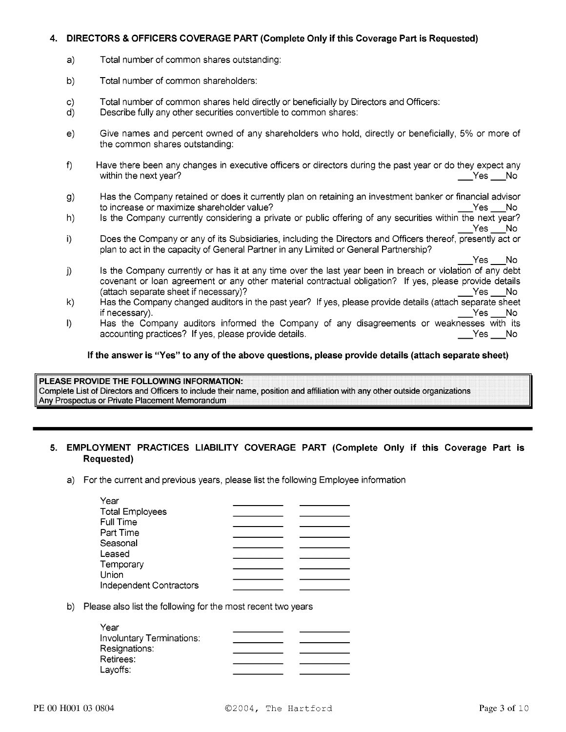#### DIRECTORS & OFFICERS COVERAGE PART (Complete Only if this Coverage Part is Requested) 4.

- Total number of common shares outstanding:  $a)$
- b) Total number of common shareholders:
- Total number of common shares held directly or beneficially by Directors and Officers:  $\mathsf{C}$
- Describe fully any other securities convertible to common shares: d)
- Give names and percent owned of any shareholders who hold, directly or beneficially, 5% or more of  $e)$ the common shares outstanding:
- Have there been any changes in executive officers or directors during the past year or do they expect any  $f$ within the next year?  $Yes$  No
- Has the Company retained or does it currently plan on retaining an investment banker or financial advisor  $\mathsf{q}$ to increase or maximize shareholder value? Yes No
- Is the Company currently considering a private or public offering of any securities within the next year? h) Yes No
- Does the Company or any of its Subsidiaries, including the Directors and Officers thereof, presently act or i) plan to act in the capacity of General Partner in any Limited or General Partnership?

Yes \_\_\_No

- Is the Company currently or has it at any time over the last year been in breach or violation of any debt  $j)$ covenant or loan agreement or any other material contractual obligation? If yes, please provide details (attach separate sheet if necessary)? Yes No
- Has the Company changed auditors in the past year? If yes, please provide details (attach separate sheet  $\mathsf{k}$ if necessary). \_Yes \_\_\_No
- Has the Company auditors informed the Company of any disagreements or weaknesses with its I) accounting practices? If yes, please provide details. Yes No

# If the answer is "Yes" to any of the above questions, please provide details (attach separate sheet)

PLEASE PROVIDE THE FOLLOWING INFORMATION: Complete List of Directors and Officers to include their name, position and affiliation with any other outside organizations Any Prospectus or Private Placement Memorandum

# 5. EMPLOYMENT PRACTICES LIABILITY COVERAGE PART (Complete Only if this Coverage Part is Requested)

a) For the current and previous years, please list the following Employee information

| Year                    |  |
|-------------------------|--|
| <b>Total Employees</b>  |  |
| <b>Full Time</b>        |  |
| Part Time               |  |
| Seasonal                |  |
| Leased                  |  |
| Temporary               |  |
| Union                   |  |
| Independent Contractors |  |

# b) Please also list the following for the most recent two years

| Year                             |  |
|----------------------------------|--|
| <b>Involuntary Terminations:</b> |  |
| Resignations:                    |  |
| Retirees:                        |  |
| Layoffs:                         |  |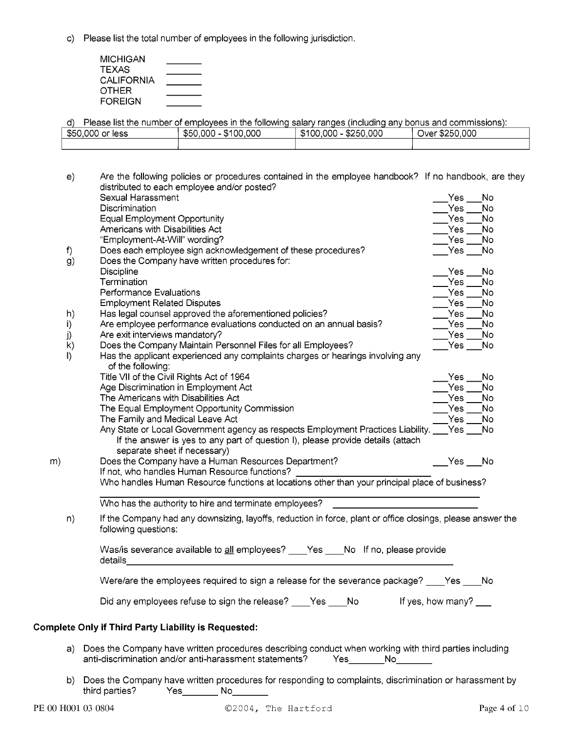c) Please list the total number of employees in the following jurisdiction.

| MICHIGAN          |  |
|-------------------|--|
| <b>TEXAS</b>      |  |
| <b>CALIFORNIA</b> |  |
| OTHER             |  |
| <b>FOREIGN</b>    |  |

d) Please list the number of employees in the following salary ranges (including any bonus and commissions): \$50,000 or less  $$50,000 - $100,000$  $$100,000 - $250,000$ Over \$250,000

| e)      | Are the following policies or procedures contained in the employee handbook? If no handbook, are they<br>distributed to each employee and/or posted?                             |
|---------|----------------------------------------------------------------------------------------------------------------------------------------------------------------------------------|
|         | Sexual Harassment<br>Yes<br>No                                                                                                                                                   |
|         | No<br>Discrimination<br>Yes                                                                                                                                                      |
|         | <b>Equal Employment Opportunity</b><br>No.<br>Yes                                                                                                                                |
|         | Americans with Disabilities Act<br>No<br>Yes                                                                                                                                     |
|         | "Employment-At-Will" wording?<br>No<br>Yes                                                                                                                                       |
| f)      | Does each employee sign acknowledgement of these procedures?<br>No<br>$Yes$ $\_\_$                                                                                               |
| g)      | Does the Company have written procedures for:                                                                                                                                    |
|         | Discipline<br>No<br>Yes                                                                                                                                                          |
|         | Termination<br>Yes<br>No                                                                                                                                                         |
|         | Performance Evaluations<br>No<br>Yes                                                                                                                                             |
|         | <b>Employment Related Disputes</b><br>Yes<br>No                                                                                                                                  |
| h)      | Has legal counsel approved the aforementioned policies?<br>No<br>Yes                                                                                                             |
| i)      | Are employee performance evaluations conducted on an annual basis?<br>No.<br>Yes                                                                                                 |
| j)      | Are exit interviews mandatory?<br>No.<br>Yes                                                                                                                                     |
| k)      | Does the Company Maintain Personnel Files for all Employees?<br>No<br>Yes __                                                                                                     |
| $\vert$ | Has the applicant experienced any complaints charges or hearings involving any                                                                                                   |
|         | of the following:                                                                                                                                                                |
|         | Title VII of the Civil Rights Act of 1964<br>No<br>Yes                                                                                                                           |
|         | Age Discrimination in Employment Act<br>Yes<br>No                                                                                                                                |
|         | The Americans with Disabilities Act<br>Yes<br>No                                                                                                                                 |
|         | The Equal Employment Opportunity Commission<br>Yes<br>No                                                                                                                         |
|         | The Family and Medical Leave Act<br>Yes<br>No.                                                                                                                                   |
|         | Any State or Local Government agency as respects Employment Practices Liability.<br>Yes<br>No.                                                                                   |
|         | If the answer is yes to any part of question I), please provide details (attach                                                                                                  |
|         | separate sheet if necessary)                                                                                                                                                     |
| m)      | Does the Company have a Human Resources Department?<br>Yes No                                                                                                                    |
|         | If not, who handles Human Resource functions?                                                                                                                                    |
|         | Who handles Human Resource functions at locations other than your principal place of business?                                                                                   |
|         | Who has the authority to hire and terminate employees?                                                                                                                           |
| n)      | If the Company had any downsizing, layoffs, reduction in force, plant or office closings, please answer the<br>following questions:                                              |
|         | Was/is severance available to all employees? ___ Yes ___ No If no, please provide<br>details                                                                                     |
|         | Were/are the employees required to sign a release for the severance package?<br>No<br>Yes                                                                                        |
|         | Did any employees refuse to sign the release? ____Yes ____ No<br>If yes, how many?                                                                                               |
|         | <b>Complete Only if Third Party Liability is Requested:</b>                                                                                                                      |
|         | a) Does the Company have written procedures describing conduct when working with third parties including<br>anti-discrimination and/or anti-harassment statements?<br>Yes<br>No. |
|         |                                                                                                                                                                                  |

b) Does the Company have written procedures for responding to complaints, discrimination or harassment by third parties? Yes\_\_\_\_\_\_\_\_\_\_ No\_\_\_\_\_\_\_\_\_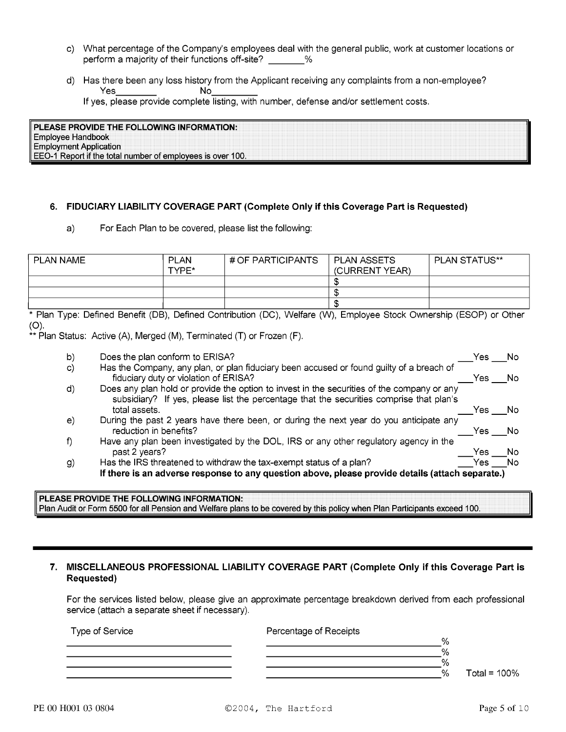- c) What percentage of the Company's employees deal with the general public, work at customer locations or perform a majority of their functions off-site? \_\_\_\_\_\_\_%
- d) Has there been any loss history from the Applicant receiving any complaints from a non-employee? **Yes No**

If yes, please provide complete listing, with number, defense and/or settlement costs.

| PLEASE PROVIDE THE FOLLOWING INFORMATION: |                                      |  |  |
|-------------------------------------------|--------------------------------------|--|--|
| Handbook<br>alovee                        |                                      |  |  |
| Application<br>vment                      |                                      |  |  |
| iifilae<br>Renort                         | f emplovees is over 100.<br>l number |  |  |

### 6. FIDUCIARY LIABILITY COVERAGE PART (Complete Only if this Coverage Part is Requested)

 $a)$ For Each Plan to be covered, please list the following:

| PLAN NAME | <b>PLAN</b><br>TYPF* | # OF PARTICIPANTS | ∣ PLAN ASSETS<br>(CURRENT YEAR) | PLAN STATUS** |
|-----------|----------------------|-------------------|---------------------------------|---------------|
|           |                      |                   |                                 |               |
|           |                      |                   | د ۱                             |               |
|           |                      |                   |                                 |               |

\* Plan Type: Defined Benefit (DB), Defined Contribution (DC), Welfare (W), Employee Stock Ownership (ESOP) or Other  $(O)$ .

\*\* Plan Status: Active (A), Merged (M), Terminated (T) or Frozen (F).

| b)       | Does the plan conform to ERISA?                                                                                                                                                       | Yes  | No. |
|----------|---------------------------------------------------------------------------------------------------------------------------------------------------------------------------------------|------|-----|
| C)       | Has the Company, any plan, or plan fiduciary been accused or found guilty of a breach of<br>fiduciary duty or violation of ERISA?                                                     | Yes  | No. |
| d)       | Does any plan hold or provide the option to invest in the securities of the company or any<br>subsidiary? If yes, please list the percentage that the securities comprise that plan's |      |     |
|          | total assets.                                                                                                                                                                         | Yes  | .No |
| $\Theta$ | During the past 2 years have there been, or during the next year do you anticipate any<br>reduction in benefits?                                                                      | Yes. | .No |
| f)       | Have any plan been investigated by the DOL, IRS or any other regulatory agency in the                                                                                                 |      |     |
|          | past 2 years?                                                                                                                                                                         | Yes  | No  |
| g)       | Has the IRS threatened to withdraw the tax-exempt status of a plan?                                                                                                                   | Yes. | No  |
|          | If there is an adverse response to any question above, please provide details (attach separate.)                                                                                      |      |     |
|          |                                                                                                                                                                                       |      |     |

#### PLEASE PROVIDE THE FOLLOWING INFORMATION: Plan Audit or Form 5500 for all Pension and Welfare plans to be covered by this policy when Plan Participants exceed 100.

### 7. MISCELLANEOUS PROFESSIONAL LIABILITY COVERAGE PART (Complete Only if this Coverage Part is Requested)

For the services listed below, please give an approximate percentage breakdown derived from each professional service (attach a separate sheet if necessary).

| Type of Service | Percentage of Receipts |      |                |
|-----------------|------------------------|------|----------------|
|                 |                        | %    |                |
|                 |                        | $\%$ |                |
|                 |                        | $\%$ |                |
|                 |                        | %    | Total = $100%$ |
|                 |                        |      |                |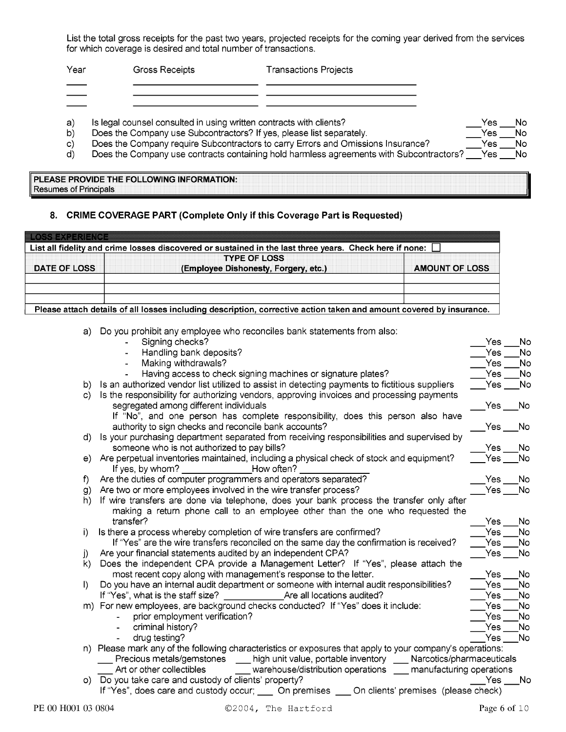List the total gross receipts for the past two years, projected receipts for the coming year derived from the services for which coverage is desired and total number of transactions.

| Year |                                                                     | Gross Receipts | <b>Transactions Projects</b> |
|------|---------------------------------------------------------------------|----------------|------------------------------|
|      |                                                                     |                |                              |
|      |                                                                     |                |                              |
| a'   | Is legal counsel consulted in using written contracts with clients? |                |                              |

- 
- Does the Company use Subcontractors? If yes, please list separately. Does the Company require Subcontractors to carry Errors and Omissions Insurance?
- $\mathsf{c}$ Does the Company use contracts containing hold harmless agreements with Subcontractors?  $d)$
- PLEASE PROVIDE THE FOLLOWING INFORMATION:

**Resumes of Principals** 

 $b)$ 

## 8. CRIME COVERAGE PART (Complete Only if this Coverage Part is Requested)

| <b>IKOSSI BADERIERIOE</b> | List all fidelity and crime losses discovered or sustained in the last three years. Check here if none: $\Box$    |                       |
|---------------------------|-------------------------------------------------------------------------------------------------------------------|-----------------------|
| <b>DATE OF LOSS</b>       | <b>TYPE OF LOSS</b><br>(Employee Dishonesty, Forgery, etc.)                                                       | <b>AMOUNT OF LOSS</b> |
|                           |                                                                                                                   |                       |
|                           | Please attach details of all losses including description corrective action taken and amount covered by insurance |                       |

a) Do you prohibit any employee who reconciles bank statements from also:

|              | Handling bank deposits?<br>Making withdrawals?<br>Having access to check signing machines or signature plates?<br>Is an authorized vendor list utilized to assist in detecting payments to fictitious suppliers<br>b)                                                                                                                                                                                                                                                              | Yes<br>Yes:<br>Yes | No.<br>No |
|--------------|------------------------------------------------------------------------------------------------------------------------------------------------------------------------------------------------------------------------------------------------------------------------------------------------------------------------------------------------------------------------------------------------------------------------------------------------------------------------------------|--------------------|-----------|
|              |                                                                                                                                                                                                                                                                                                                                                                                                                                                                                    |                    |           |
|              |                                                                                                                                                                                                                                                                                                                                                                                                                                                                                    |                    |           |
|              |                                                                                                                                                                                                                                                                                                                                                                                                                                                                                    |                    | No        |
|              |                                                                                                                                                                                                                                                                                                                                                                                                                                                                                    | Yes                | No.       |
|              | Is the responsibility for authorizing vendors, approving invoices and processing payments<br>$\mathsf{C}$<br>segregated among different individuals                                                                                                                                                                                                                                                                                                                                | Yes.               | No        |
|              | If "No", and one person has complete responsibility, does this person also have<br>authority to sign checks and reconcile bank accounts?                                                                                                                                                                                                                                                                                                                                           | Yes                | No.       |
|              | Is your purchasing department separated from receiving responsibilities and supervised by<br>d)<br>someone who is not authorized to pay bills?                                                                                                                                                                                                                                                                                                                                     | Yes                | No.       |
|              | Are perpetual inventories maintained, including a physical check of stock and equipment?<br>e)<br>If yes, by whom?<br>How often?                                                                                                                                                                                                                                                                                                                                                   | Yes l              | No.       |
| f)           | Are the duties of computer programmers and operators separated?                                                                                                                                                                                                                                                                                                                                                                                                                    | Yes                | No        |
|              | Are two or more employees involved in the wire transfer process?<br>g)                                                                                                                                                                                                                                                                                                                                                                                                             | Yes l              | No.       |
|              | If wire transfers are done via telephone, does your bank process the transfer only after<br>h)<br>making a return phone call to an employee other than the one who requested the<br>transfer?                                                                                                                                                                                                                                                                                      | Yes                | No.       |
| i)           | Is there a process whereby completion of wire transfers are confirmed?                                                                                                                                                                                                                                                                                                                                                                                                             | Yes.               | No        |
|              | If "Yes" are the wire transfers reconciled on the same day the confirmation is received?                                                                                                                                                                                                                                                                                                                                                                                           | Yes                | No        |
| j)           | Are your financial statements audited by an independent CPA?                                                                                                                                                                                                                                                                                                                                                                                                                       | Yes.               | No        |
|              | Does the independent CPA provide a Management Letter? If "Yes", please attach the<br>k)                                                                                                                                                                                                                                                                                                                                                                                            |                    |           |
|              | most recent copy along with management's response to the letter.                                                                                                                                                                                                                                                                                                                                                                                                                   | Yes.               | No        |
| $\mathbf{D}$ | Do you have an internal audit department or someone with internal audit responsibilities?                                                                                                                                                                                                                                                                                                                                                                                          | Yes                | No        |
|              | If "Yes", what is the staff size?<br>Are all locations audited?                                                                                                                                                                                                                                                                                                                                                                                                                    | Yes.               | No        |
|              | m) For new employees, are background checks conducted? If "Yes" does it include:                                                                                                                                                                                                                                                                                                                                                                                                   | Yes.               | No        |
|              | prior employment verification?                                                                                                                                                                                                                                                                                                                                                                                                                                                     | Yes                | No        |
|              | criminal history?                                                                                                                                                                                                                                                                                                                                                                                                                                                                  | Yes.               | No        |
|              | drug testing?                                                                                                                                                                                                                                                                                                                                                                                                                                                                      | Yes                | No        |
|              | n) Please mark any of the following characteristics or exposures that apply to your company's operations:<br>Precious metals/gemstones<br>high unit value, portable inventory ____ Narcotics/pharmaceuticals<br>Art or other collectibles<br>warehouse/distribution operations ____ manufacturing operations<br>Do you take care and custody of clients' property?<br>$\circ$<br>If "Yes", does care and custody occur; _____ On premises ____ On clients' premises (please check) | Yes                | No.       |

Yes

Yes \_\_

Yes

Yes

No

No

**No** 

No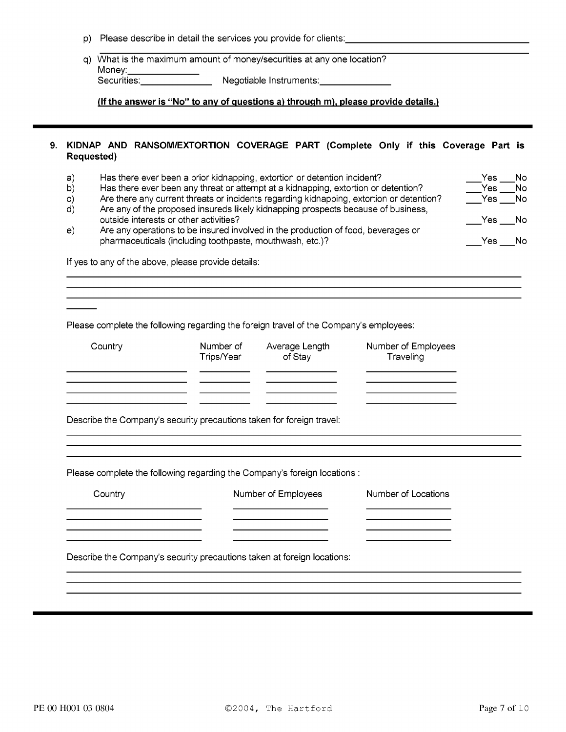- p) Please describe in detail the services you provide for clients:
- q) What is the maximum amount of money/securities at any one location? Money:

(If the answer is "No" to any of questions a) through m), please provide details.)

### 9. KIDNAP AND RANSOM/EXTORTION COVERAGE PART (Complete Only if this Coverage Part is **Requested)**

| a)<br>b)<br>C) | Has there ever been a prior kidnapping, extortion or detention incident?<br>Has there ever been any threat or attempt at a kidnapping, extortion or detention?<br>Are there any current threats or incidents regarding kidnapping, extortion or detention? |                                                                       |                                                                                        |                                  |  |  |  |
|----------------|------------------------------------------------------------------------------------------------------------------------------------------------------------------------------------------------------------------------------------------------------------|-----------------------------------------------------------------------|----------------------------------------------------------------------------------------|----------------------------------|--|--|--|
| d)             | Are any of the proposed insureds likely kidnapping prospects because of business,<br>outside interests or other activities?                                                                                                                                |                                                                       |                                                                                        |                                  |  |  |  |
| e)             | Are any operations to be insured involved in the production of food, beverages or<br>pharmaceuticals (including toothpaste, mouthwash, etc.)?                                                                                                              |                                                                       |                                                                                        |                                  |  |  |  |
|                |                                                                                                                                                                                                                                                            | If yes to any of the above, please provide details:                   |                                                                                        |                                  |  |  |  |
|                |                                                                                                                                                                                                                                                            |                                                                       |                                                                                        |                                  |  |  |  |
|                |                                                                                                                                                                                                                                                            |                                                                       | Please complete the following regarding the foreign travel of the Company's employees: |                                  |  |  |  |
|                | Country                                                                                                                                                                                                                                                    | Number of<br>Trips/Year                                               | Average Length<br>of Stay                                                              | Number of Employees<br>Traveling |  |  |  |
|                |                                                                                                                                                                                                                                                            |                                                                       |                                                                                        |                                  |  |  |  |
|                |                                                                                                                                                                                                                                                            | Describe the Company's security precautions taken for foreign travel: |                                                                                        |                                  |  |  |  |
|                |                                                                                                                                                                                                                                                            |                                                                       | Please complete the following regarding the Company's foreign locations :              |                                  |  |  |  |
|                | Country                                                                                                                                                                                                                                                    |                                                                       | Number of Employees                                                                    | Number of Locations              |  |  |  |
|                |                                                                                                                                                                                                                                                            |                                                                       |                                                                                        |                                  |  |  |  |
|                |                                                                                                                                                                                                                                                            |                                                                       | Describe the Company's security precautions taken at foreign locations:                |                                  |  |  |  |
|                |                                                                                                                                                                                                                                                            |                                                                       |                                                                                        |                                  |  |  |  |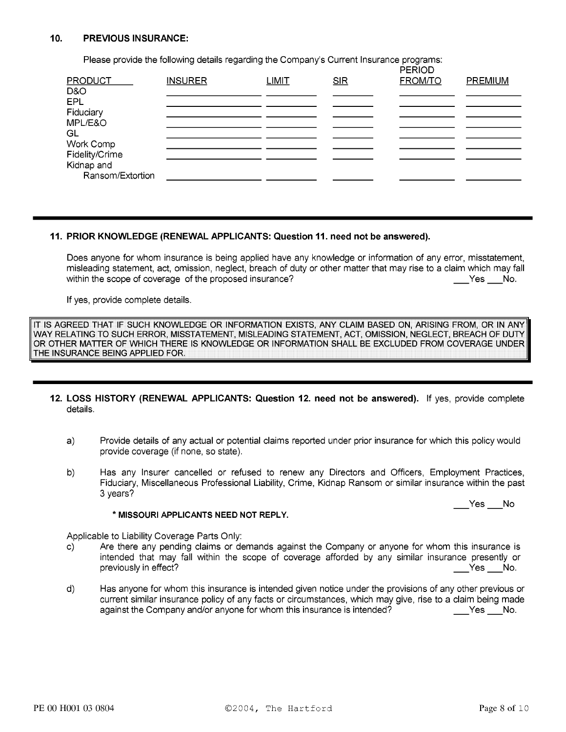#### $10.$ **PREVIOUS INSURANCE:**

Please provide the following details regarding the Company's Current Insurance programs:

| <b>PRODUCT</b><br><b>SIR</b><br>D&O<br>EPL<br>Fiduciary<br>MPL/E&O<br>GL<br>Work Comp<br>Fidelity/Crime |  |
|---------------------------------------------------------------------------------------------------------|--|
|                                                                                                         |  |
|                                                                                                         |  |
|                                                                                                         |  |
|                                                                                                         |  |
|                                                                                                         |  |
|                                                                                                         |  |
|                                                                                                         |  |
| Kidnap and                                                                                              |  |
| Ransom/Extortion                                                                                        |  |

### 11. PRIOR KNOWLEDGE (RENEWAL APPLICANTS: Question 11. need not be answered).

Does anyone for whom insurance is being applied have any knowledge or information of any error, misstatement, misleading statement, act, omission, neglect, breach of duty or other matter that may rise to a claim which may fall within the scope of coverage of the proposed insurance?  $Yes$  No.

If yes, provide complete details.

IT IS AGREED THAT IF SUCH KNOWLEDGE OR INFORMATION EXISTS, ANY CLAIM BASED ON, ARISING FROM, OR IN ANY WAY RELATING TO SUCH ERROR, MISSTATEMENT, MISLEADING STATEMENT, ACT, OMISSION, NEGLECT, BREACH OF DUTY OR OTHER MATTER OF WHICH THERE IS KNOWLEDGE OR INFORMATION SHALL BE EXCLUDED FROM COVERAGE UNDER THE INSURANCE BEING APPLIED FOR.

- 12. LOSS HISTORY (RENEWAL APPLICANTS: Question 12. need not be answered). If yes, provide complete details.
	- Provide details of any actual or potential claims reported under prior insurance for which this policy would  $a)$ provide coverage (if none, so state).
	- b) Has any Insurer cancelled or refused to renew any Directors and Officers, Employment Practices, Fiduciary, Miscellaneous Professional Liability, Crime, Kidnap Ransom or similar insurance within the past 3 years?

 $Yes$  No

#### \* MISSOURI APPLICANTS NEED NOT REPLY.

Applicable to Liability Coverage Parts Only:

- Are there any pending claims or demands against the Company or anyone for whom this insurance is C) intended that may fall within the scope of coverage afforded by any similar insurance presently or previously in effect? Yes No.
- d) Has anyone for whom this insurance is intended given notice under the provisions of any other previous or current similar insurance policy of any facts or circumstances, which may give, rise to a claim being made against the Company and/or anyone for whom this insurance is intended?  $Yes$  No.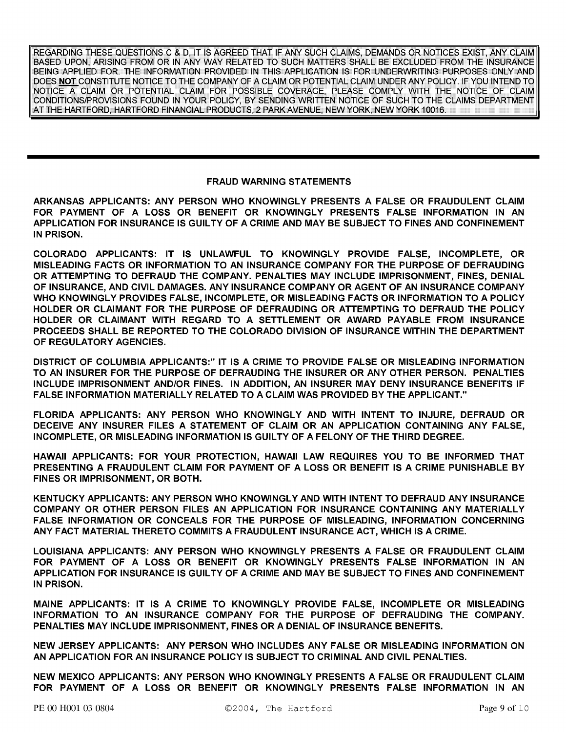REGARDING THESE QUESTIONS C & D, IT IS AGREED THAT IF ANY SUCH CLAIMS, DEMANDS OR NOTICES EXIST, ANY CLAIM BASED UPON, ARISING FROM OR IN ANY WAY RELATED TO SUCH MATTERS SHALL BE EXCLUDED FROM THE INSURANCE BEING APPLIED FOR. THE INFORMATION PROVIDED IN THIS APPLICATION IS FOR UNDERWRITING PURPOSES ONLY AND DOES NOT CONSTITUTE NOTICE TO THE COMPANY OF A CLAIM OR POTENTIAL CLAIM UNDER ANY POLICY. IF YOU INTEND TO NOTICE A CLAIM OR POTENTIAL CLAIM FOR POSSIBLE COVERAGE, PLEASE COMPLY WITH THE NOTICE OF CLAIM CONDITIONS/PROVISIONS FOUND IN YOUR POLICY, BY SENDING WRITTEN NOTICE OF SUCH TO THE CLAIMS DEPARTMENT AT THE HARTFORD, HARTFORD FINANCIAL PRODUCTS, 2 PARK AVENUE, NEW YORK, NEW YORK 10016.

### **FRAUD WARNING STATEMENTS**

ARKANSAS APPLICANTS: ANY PERSON WHO KNOWINGLY PRESENTS A FALSE OR FRAUDULENT CLAIM FOR PAYMENT OF A LOSS OR BENEFIT OR KNOWINGLY PRESENTS FALSE INFORMATION IN AN APPLICATION FOR INSURANCE IS GUILTY OF A CRIME AND MAY BE SUBJECT TO FINES AND CONFINEMENT IN PRISON.

COLORADO APPLICANTS: IT IS UNLAWFUL TO KNOWINGLY PROVIDE FALSE, INCOMPLETE, OR MISLEADING FACTS OR INFORMATION TO AN INSURANCE COMPANY FOR THE PURPOSE OF DEFRAUDING OR ATTEMPTING TO DEFRAUD THE COMPANY. PENALTIES MAY INCLUDE IMPRISONMENT, FINES, DENIAL OF INSURANCE, AND CIVIL DAMAGES. ANY INSURANCE COMPANY OR AGENT OF AN INSURANCE COMPANY WHO KNOWINGLY PROVIDES FALSE, INCOMPLETE, OR MISLEADING FACTS OR INFORMATION TO A POLICY HOLDER OR CLAIMANT FOR THE PURPOSE OF DEFRAUDING OR ATTEMPTING TO DEFRAUD THE POLICY HOLDER OR CLAIMANT WITH REGARD TO A SETTLEMENT OR AWARD PAYABLE FROM INSURANCE PROCEEDS SHALL BE REPORTED TO THE COLORADO DIVISION OF INSURANCE WITHIN THE DEPARTMENT OF REGULATORY AGENCIES.

DISTRICT OF COLUMBIA APPLICANTS:" IT IS A CRIME TO PROVIDE FALSE OR MISLEADING INFORMATION TO AN INSURER FOR THE PURPOSE OF DEFRAUDING THE INSURER OR ANY OTHER PERSON. PENALTIES INCLUDE IMPRISONMENT AND/OR FINES. IN ADDITION, AN INSURER MAY DENY INSURANCE BENEFITS IF FALSE INFORMATION MATERIALLY RELATED TO A CLAIM WAS PROVIDED BY THE APPLICANT."

FLORIDA APPLICANTS: ANY PERSON WHO KNOWINGLY AND WITH INTENT TO INJURE, DEFRAUD OR DECEIVE ANY INSURER FILES A STATEMENT OF CLAIM OR AN APPLICATION CONTAINING ANY FALSE, INCOMPLETE, OR MISLEADING INFORMATION IS GUILTY OF A FELONY OF THE THIRD DEGREE.

HAWAII APPLICANTS: FOR YOUR PROTECTION, HAWAII LAW REQUIRES YOU TO BE INFORMED THAT PRESENTING A FRAUDULENT CLAIM FOR PAYMENT OF A LOSS OR BENEFIT IS A CRIME PUNISHABLE BY FINES OR IMPRISONMENT, OR BOTH.

KENTUCKY APPLICANTS: ANY PERSON WHO KNOWINGLY AND WITH INTENT TO DEFRAUD ANY INSURANCE COMPANY OR OTHER PERSON FILES AN APPLICATION FOR INSURANCE CONTAINING ANY MATERIALLY FALSE INFORMATION OR CONCEALS FOR THE PURPOSE OF MISLEADING, INFORMATION CONCERNING ANY FACT MATERIAL THERETO COMMITS A FRAUDULENT INSURANCE ACT, WHICH IS A CRIME.

LOUISIANA APPLICANTS: ANY PERSON WHO KNOWINGLY PRESENTS A FALSE OR FRAUDULENT CLAIM FOR PAYMENT OF A LOSS OR BENEFIT OR KNOWINGLY PRESENTS FALSE INFORMATION IN AN APPLICATION FOR INSURANCE IS GUILTY OF A CRIME AND MAY BE SUBJECT TO FINES AND CONFINEMENT IN PRISON.

MAINE APPLICANTS: IT IS A CRIME TO KNOWINGLY PROVIDE FALSE, INCOMPLETE OR MISLEADING INFORMATION TO AN INSURANCE COMPANY FOR THE PURPOSE OF DEFRAUDING THE COMPANY. PENALTIES MAY INCLUDE IMPRISONMENT, FINES OR A DENIAL OF INSURANCE BENEFITS.

NEW JERSEY APPLICANTS: ANY PERSON WHO INCLUDES ANY FALSE OR MISLEADING INFORMATION ON AN APPLICATION FOR AN INSURANCE POLICY IS SUBJECT TO CRIMINAL AND CIVIL PENALTIES.

NEW MEXICO APPLICANTS: ANY PERSON WHO KNOWINGLY PRESENTS A FALSE OR FRAUDULENT CLAIM FOR PAYMENT OF A LOSS OR BENEFIT OR KNOWINGLY PRESENTS FALSE INFORMATION IN AN